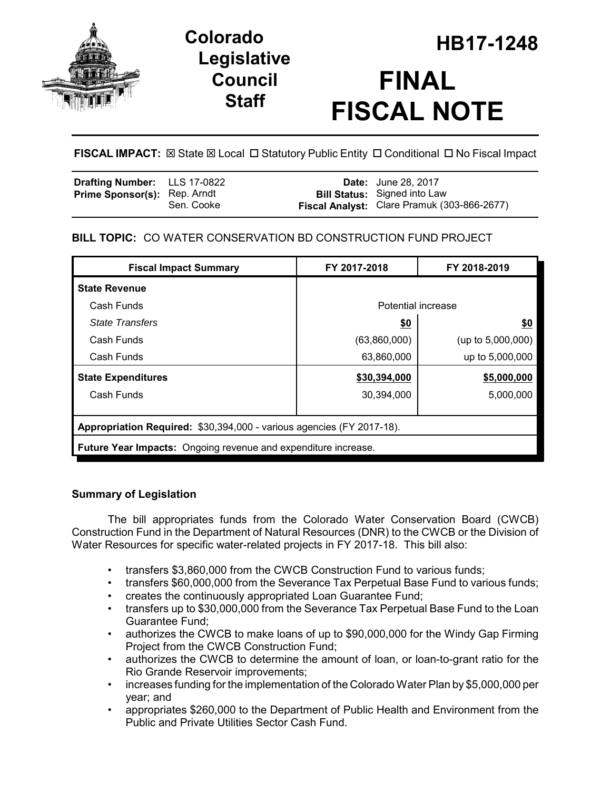

# **Legislative Council Staff**

# **HB17-1248 Colorado FINAL FISCAL NOTE**

**FISCAL IMPACT:**  $\boxtimes$  **State**  $\boxtimes$  **Local □ Statutory Public Entity □ Conditional □ No Fiscal Impact** 

| Drafting Number: LLS 17-0822        |            | <b>Date:</b> June 28, 2017                                                         |
|-------------------------------------|------------|------------------------------------------------------------------------------------|
| <b>Prime Sponsor(s): Rep. Arndt</b> | Sen. Cooke | <b>Bill Status:</b> Signed into Law<br>Fiscal Analyst: Clare Pramuk (303-866-2677) |

## **BILL TOPIC:** CO WATER CONSERVATION BD CONSTRUCTION FUND PROJECT

| <b>Fiscal Impact Summary</b>                                          | FY 2017-2018       | FY 2018-2019         |  |  |
|-----------------------------------------------------------------------|--------------------|----------------------|--|--|
| <b>State Revenue</b>                                                  |                    |                      |  |  |
| Cash Funds                                                            | Potential increase |                      |  |  |
| <b>State Transfers</b>                                                | <u>\$0</u>         | \$0                  |  |  |
| Cash Funds                                                            | (63,860,000)       | (up to $5,000,000$ ) |  |  |
| Cash Funds                                                            | 63,860,000         | up to 5,000,000      |  |  |
| <b>State Expenditures</b>                                             | \$30,394,000       | \$5,000,000          |  |  |
| Cash Funds                                                            | 30,394,000         | 5,000,000            |  |  |
|                                                                       |                    |                      |  |  |
| Appropriation Required: \$30,394,000 - various agencies (FY 2017-18). |                    |                      |  |  |
| <b>Future Year Impacts:</b> Ongoing revenue and expenditure increase. |                    |                      |  |  |

### **Summary of Legislation**

The bill appropriates funds from the Colorado Water Conservation Board (CWCB) Construction Fund in the Department of Natural Resources (DNR) to the CWCB or the Division of Water Resources for specific water-related projects in FY 2017-18. This bill also:

- transfers \$3,860,000 from the CWCB Construction Fund to various funds;
- transfers \$60,000,000 from the Severance Tax Perpetual Base Fund to various funds;
- creates the continuously appropriated Loan Guarantee Fund;
- transfers up to \$30,000,000 from the Severance Tax Perpetual Base Fund to the Loan Guarantee Fund;
- authorizes the CWCB to make loans of up to \$90,000,000 for the Windy Gap Firming Project from the CWCB Construction Fund;
- authorizes the CWCB to determine the amount of loan, or loan-to-grant ratio for the Rio Grande Reservoir improvements;
- increases funding for the implementation of the Colorado Water Plan by \$5,000,000 per year; and
- appropriates \$260,000 to the Department of Public Health and Environment from the Public and Private Utilities Sector Cash Fund.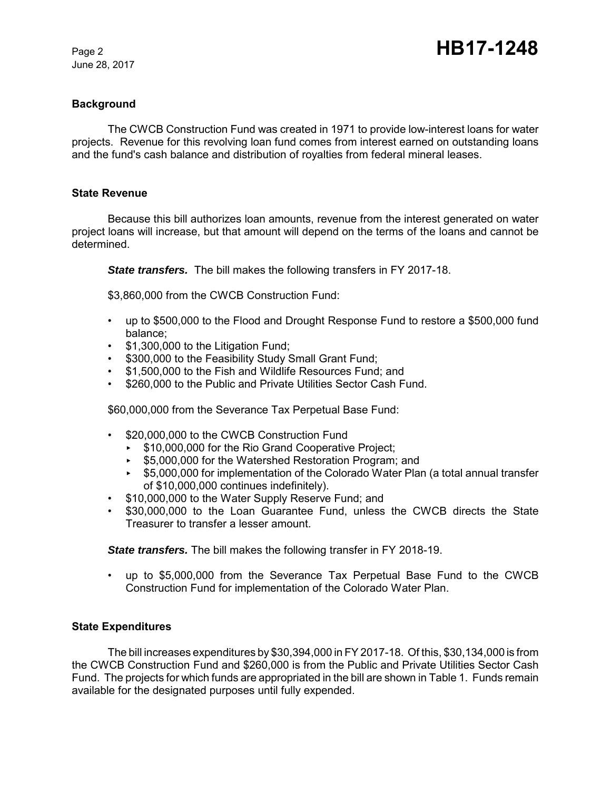June 28, 2017

#### **Background**

The CWCB Construction Fund was created in 1971 to provide low-interest loans for water projects. Revenue for this revolving loan fund comes from interest earned on outstanding loans and the fund's cash balance and distribution of royalties from federal mineral leases.

#### **State Revenue**

Because this bill authorizes loan amounts, revenue from the interest generated on water project loans will increase, but that amount will depend on the terms of the loans and cannot be determined.

*State transfers.* The bill makes the following transfers in FY 2017-18.

\$3,860,000 from the CWCB Construction Fund:

- up to \$500,000 to the Flood and Drought Response Fund to restore a \$500,000 fund balance;
- \$1,300,000 to the Litigation Fund;
- \$300,000 to the Feasibility Study Small Grant Fund;
- \$1,500,000 to the Fish and Wildlife Resources Fund; and
- \$260,000 to the Public and Private Utilities Sector Cash Fund.

\$60,000,000 from the Severance Tax Perpetual Base Fund:

- \$20,000,000 to the CWCB Construction Fund
	- ▶ \$10,000,000 for the Rio Grand Cooperative Project;
	- ► \$5,000,000 for the Watershed Restoration Program; and
	- < \$5,000,000 for implementation of the Colorado Water Plan (a total annual transfer of \$10,000,000 continues indefinitely).
- \$10,000,000 to the Water Supply Reserve Fund; and
- \$30,000,000 to the Loan Guarantee Fund, unless the CWCB directs the State Treasurer to transfer a lesser amount.

*State transfers.* The bill makes the following transfer in FY 2018-19.

• up to \$5,000,000 from the Severance Tax Perpetual Base Fund to the CWCB Construction Fund for implementation of the Colorado Water Plan.

#### **State Expenditures**

The bill increases expenditures by \$30,394,000 in FY 2017-18. Of this, \$30,134,000 is from the CWCB Construction Fund and \$260,000 is from the Public and Private Utilities Sector Cash Fund. The projects for which funds are appropriated in the bill are shown in Table 1. Funds remain available for the designated purposes until fully expended.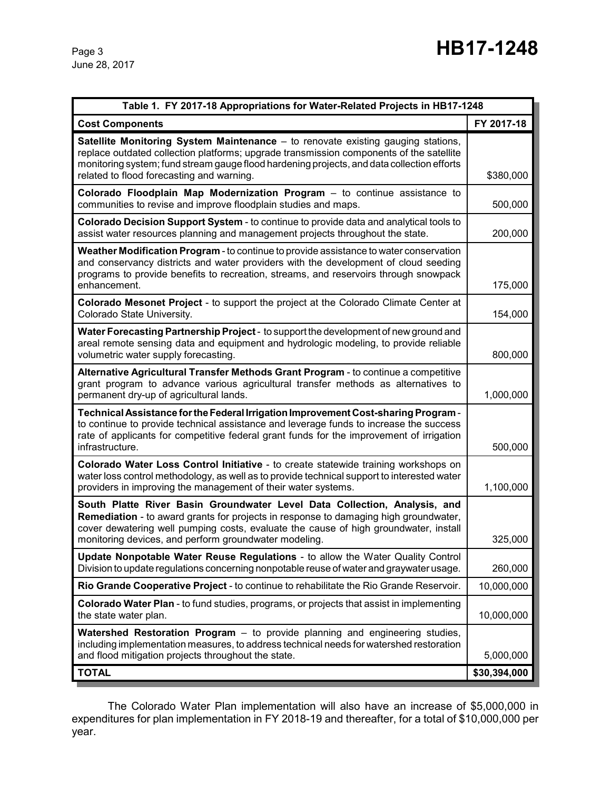June 28, 2017

| Table 1. FY 2017-18 Appropriations for Water-Related Projects in HB17-1248                                                                                                                                                                                                                                                    |              |  |  |
|-------------------------------------------------------------------------------------------------------------------------------------------------------------------------------------------------------------------------------------------------------------------------------------------------------------------------------|--------------|--|--|
| <b>Cost Components</b>                                                                                                                                                                                                                                                                                                        | FY 2017-18   |  |  |
| <b>Satellite Monitoring System Maintenance</b> – to renovate existing gauging stations,<br>replace outdated collection platforms; upgrade transmission components of the satellite<br>monitoring system; fund stream gauge flood hardening projects, and data collection efforts<br>related to flood forecasting and warning. | \$380,000    |  |  |
| Colorado Floodplain Map Modernization Program - to continue assistance to<br>communities to revise and improve floodplain studies and maps.                                                                                                                                                                                   | 500,000      |  |  |
| Colorado Decision Support System - to continue to provide data and analytical tools to<br>assist water resources planning and management projects throughout the state.                                                                                                                                                       | 200,000      |  |  |
| Weather Modification Program - to continue to provide assistance to water conservation<br>and conservancy districts and water providers with the development of cloud seeding<br>programs to provide benefits to recreation, streams, and reservoirs through snowpack<br>enhancement.                                         | 175,000      |  |  |
| Colorado Mesonet Project - to support the project at the Colorado Climate Center at<br>Colorado State University.                                                                                                                                                                                                             | 154,000      |  |  |
| Water Forecasting Partnership Project - to support the development of new ground and<br>areal remote sensing data and equipment and hydrologic modeling, to provide reliable<br>volumetric water supply forecasting.                                                                                                          | 800,000      |  |  |
| Alternative Agricultural Transfer Methods Grant Program - to continue a competitive<br>grant program to advance various agricultural transfer methods as alternatives to<br>permanent dry-up of agricultural lands.                                                                                                           | 1,000,000    |  |  |
| Technical Assistance for the Federal Irrigation Improvement Cost-sharing Program -<br>to continue to provide technical assistance and leverage funds to increase the success<br>rate of applicants for competitive federal grant funds for the improvement of irrigation<br>infrastructure.                                   | 500,000      |  |  |
| Colorado Water Loss Control Initiative - to create statewide training workshops on<br>water loss control methodology, as well as to provide technical support to interested water<br>providers in improving the management of their water systems.                                                                            | 1,100,000    |  |  |
| South Platte River Basin Groundwater Level Data Collection, Analysis, and<br>Remediation - to award grants for projects in response to damaging high groundwater,<br>cover dewatering well pumping costs, evaluate the cause of high groundwater, install<br>monitoring devices, and perform groundwater modeling.            | 325,000      |  |  |
| Update Nonpotable Water Reuse Regulations - to allow the Water Quality Control<br>Division to update regulations concerning nonpotable reuse of water and graywater usage.                                                                                                                                                    | 260,000      |  |  |
| Rio Grande Cooperative Project - to continue to rehabilitate the Rio Grande Reservoir.                                                                                                                                                                                                                                        | 10,000,000   |  |  |
| <b>Colorado Water Plan</b> - to fund studies, programs, or projects that assist in implementing<br>the state water plan.                                                                                                                                                                                                      |              |  |  |
| <b>Watershed Restoration Program</b> - to provide planning and engineering studies,<br>including implementation measures, to address technical needs for watershed restoration<br>and flood mitigation projects throughout the state.                                                                                         | 5,000,000    |  |  |
| <b>TOTAL</b>                                                                                                                                                                                                                                                                                                                  | \$30,394,000 |  |  |

The Colorado Water Plan implementation will also have an increase of \$5,000,000 in expenditures for plan implementation in FY 2018-19 and thereafter, for a total of \$10,000,000 per year.